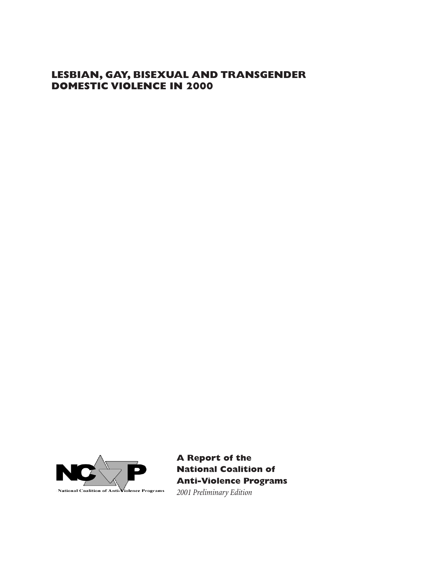# **LESBIAN, GAY, BISEXUAL AND TRANSGENDER DOMESTIC VIOLENCE IN 2000**



**A Report of the National Coalition of Anti-Violence Programs** *2001 Preliminary Edition*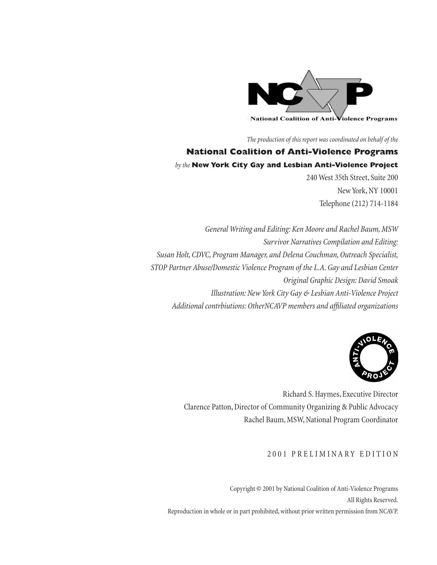

*The production of this report was coordinated on behalf of the* 

# **National Coalition of Anti-Violence Programs** *by the* **New York City Gay and Lesbian Anti-Violence Project**

240 West 35th Street, Suite 200 New York, NY 10001 Telephone (212) 714-1184

*General Writing and Editing: Ken Moore and Rachel Baum, MSW Survivor Narratives Compilation and Editing: Susan Holt, CDVC, Program Manager, and Delena Couchman, Outreach Specialist, STOP Partner Abuse/Domestic Violence Program of the L.A. Gay and Lesbian Center Original Graphic Design: David Smoak Illustration: New York City Gay & Lesbian Anti-Violence Project Additional contrbiutions: OtherNCAVP members and affi liated organizations*



Richard S. Haymes, Executive Director Clarence Patton, Director of Community Organizing & Public Advocacy Rachel Baum, MSW, National Program Coordinator

# 2001 PRELIMINARY EDITION

Copyright © 2001 by National Coalition of Anti-Violence Programs All Rights Reserved. Reproduction in whole or in part prohibited, without prior written permission from NCAVP.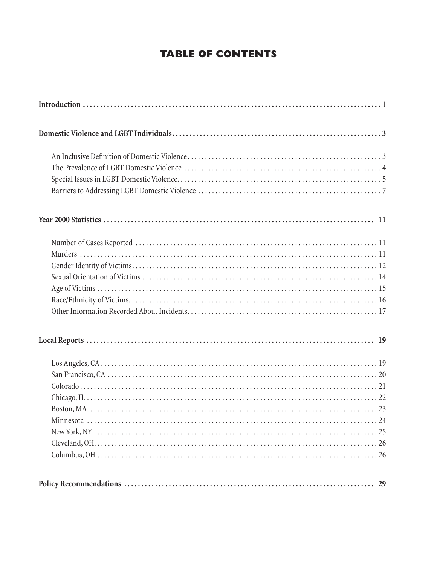# **TABLE OF CONTENTS**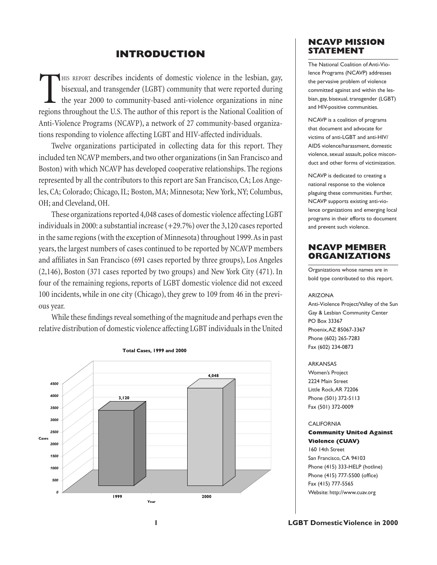# **INTRODUCTION**

THIS REPORT describes incidents of domestic violence in the lesbian, gay, bisexual, and transgender (LGBT) community that were reported during the year 2000 to community-based anti-violence organizations in nine regions throughout the U.S. The author of this report is the National Coalition of Anti-Violence Programs (NCAVP), a network of 27 community-based organizations responding to violence affecting LGBT and HIV-affected individuals.

Twelve organizations participated in collecting data for this report. They included ten NCAVP members, and two other organizations (in San Francisco and Boston) with which NCAVP has developed cooperative relationships. The regions represented by all the contributors to this report are San Francisco, CA; Los Angeles, CA; Colorado; Chicago, IL; Boston, MA; Minnesota; New York, NY; Columbus, OH; and Cleveland, OH.

These organizations reported 4,048 cases of domestic violence affecting LGBT individuals in 2000: a substantial increase (+29.7%) over the 3,120 cases reported in the same regions (with the exception of Minnesota) throughout 1999. As in past years, the largest numbers of cases continued to be reported by NCAVP members and affiliates in San Francisco (691 cases reported by three groups), Los Angeles (2,146), Boston (371 cases reported by two groups) and New York City (471). In four of the remaining regions, reports of LGBT domestic violence did not exceed 100 incidents, while in one city (Chicago), they grew to 109 from 46 in the previous year.

While these findings reveal something of the magnitude and perhaps even the relative distribution of domestic violence affecting LGBT individuals in the United



# **NCAVP MISSION STATEMENT**

The National Coalition of Anti-Violence Programs (NCAVP) addresses the pervasive problem of violence committed against and within the lesbian, gay, bisexual, transgender (LGBT) and HIV-positive communities.

NCAVP is a coalition of programs that document and advocate for victims of anti-LGBT and anti-HIV/ AIDS violence/harassment, domestic violence, sexual assault, police misconduct and other forms of victimization.

NCAVP is dedicated to creating a national response to the violence plaguing these communities. Further, NCAVP supports existing anti-violence organizations and emerging local programs in their efforts to document and prevent such violence.

# **NCAVP MEMBER ORGANIZATIONS**

Organizations whose names are in bold type contributed to this report.

### ARIZONA

Anti-Violence Project/Valley of the Sun Gay & Lesbian Community Center PO Box 33367 Phoenix, AZ 85067-3367 Phone (602) 265-7283 Fax (602) 234-0873

### ARKANSAS

Women's Project 2224 Main Street Little Rock, AR 72206 Phone (501) 372-5113 Fax (501) 372-0009

#### **CALIFORNIA**

### **Community United Against Violence (CUAV)**

160 14th Street San Francisco, CA 94103 Phone (415) 333-HELP (hotline) Phone (415) 777-5500 (office) Fax (415) 777-5565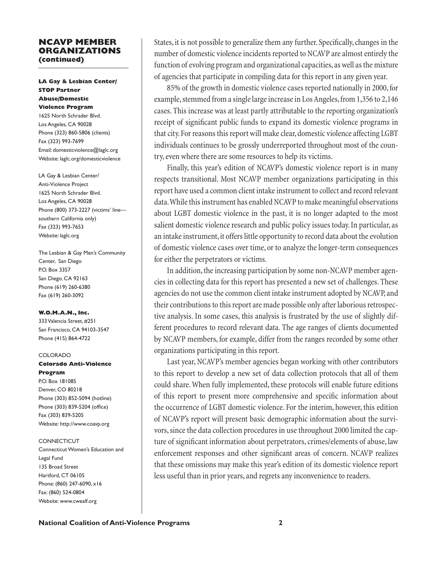### **NCAVP MEMBER ORGANIZATIONS (continued)**

### **LA Gay & Lesbian Center/ STOP Partner Abuse/Domestic Violence Program**

1625 North Schrader Blvd. Los Angeles, CA 90028 Phone (323) 860-5806 (clients) Fax (323) 993-7699 Email: domesticviolence@laglc.org Website: laglc.org/domesticviolence

LA Gay & Lesbian Center/ Anti-Violence Project 1625 North Schrader Blvd. Los Angeles, CA 90028 Phone (800) 373-2227 (victims' line southern California only) Fax (323) 993-7653 Website: laglc.org

The Lesbian & Gay Men's Community Center, San Diego P.O. Box 3357 San Diego, CA 92163 Phone (619) 260-6380 Fax (619) 260-3092

### **W.O.M.A.N., Inc.**

333 Valencia Street, #251 San Francisco, CA 94103-3547 Phone (415) 864-4722

#### COLORADO

# **Colorado Anti-Violence**

**Program**  P.O. Box 181085 Denver, CO 80218 Phone (303) 852-5094 (hotline) Phone (303) 839-5204 (office) Fax (303) 839-5205 Website: http://www.coavp.org

#### **CONNECTICUT**

Connecticut Women's Education and Legal Fund 135 Broad Street Hartford, CT 06105 Phone: (860) 247-6090, x16 Fax: (860) 524-0804 Website: www.cwealf.org

States, it is not possible to generalize them any further. Specifically, changes in the number of domestic violence incidents reported to NCAVP are almost entirely the function of evolving program and organizational capacities, as well as the mixture of agencies that participate in compiling data for this report in any given year.

85% of the growth in domestic violence cases reported nationally in 2000, for example, stemmed from a single large increase in Los Angeles, from 1,356 to 2,146 cases. This increase was at least partly attributable to the reporting organization's receipt of significant public funds to expand its domestic violence programs in that city. For reasons this report will make clear, domestic violence affecting LGBT individuals continues to be grossly underreported throughout most of the country, even where there are some resources to help its victims.

Finally, this year's edition of NCAVP's domestic violence report is in many respects transitional. Most NCAVP member organizations participating in this report have used a common client intake instrument to collect and record relevant data. While this instrument has enabled NCAVP to make meaningful observations about LGBT domestic violence in the past, it is no longer adapted to the most salient domestic violence research and public policy issues today. In particular, as an intake instrument, it offers little opportunity to record data about the evolution of domestic violence cases over time, or to analyze the longer-term consequences for either the perpetrators or victims.

In addition, the increasing participation by some non-NCAVP member agencies in collecting data for this report has presented a new set of challenges. These agencies do not use the common client intake instrument adopted by NCAVP, and their contributions to this report are made possible only after laborious retrospective analysis. In some cases, this analysis is frustrated by the use of slightly different procedures to record relevant data. The age ranges of clients documented by NCAVP members, for example, differ from the ranges recorded by some other organizations participating in this report.

Last year, NCAVP's member agencies began working with other contributors to this report to develop a new set of data collection protocols that all of them could share. When fully implemented, these protocols will enable future editions of this report to present more comprehensive and specific information about the occurrence of LGBT domestic violence. For the interim, however, this edition of NCAVP's report will present basic demographic information about the survivors, since the data collection procedures in use throughout 2000 limited the capture of significant information about perpetrators, crimes/elements of abuse, law enforcement responses and other significant areas of concern. NCAVP realizes that these omissions may make this year's edition of its domestic violence report less useful than in prior years, and regrets any inconvenience to readers.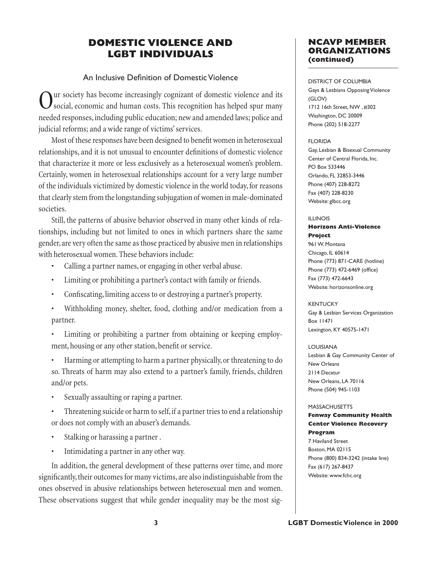# **DOMESTIC VIOLENCE AND LGBT INDIVIDUALS**

# An Inclusive Definition of Domestic Violence

Our society has become increasingly cognizant of domestic violence and its social, economic and human costs. This recognition has helped spur many needed responses, including public education; new and amended laws; police and judicial reforms; and a wide range of victims' services.

Most of these responses have been designed to benefit women in heterosexual relationships, and it is not unusual to encounter definitions of domestic violence that characterize it more or less exclusively as a heterosexual women's problem. Certainly, women in heterosexual relationships account for a very large number of the individuals victimized by domestic violence in the world today, for reasons that clearly stem from the longstanding subjugation of women in male-dominated societies.

Still, the patterns of abusive behavior observed in many other kinds of relationships, including but not limited to ones in which partners share the same gender, are very often the same as those practiced by abusive men in relationships with heterosexual women. These behaviors include:

- Calling a partner names, or engaging in other verbal abuse.
- Limiting or prohibiting a partner's contact with family or friends.
- Confiscating, limiting access to or destroying a partner's property.
- Withholding money, shelter, food, clothing and/or medication from a partner.
- Limiting or prohibiting a partner from obtaining or keeping employment, housing or any other station, benefit or service.
- Harming or attempting to harm a partner physically, or threatening to do so. Threats of harm may also extend to a partner's family, friends, children and/or pets.
- Sexually assaulting or raping a partner.
- Threatening suicide or harm to self, if a partner tries to end a relationship or does not comply with an abuser's demands.
- Stalking or harassing a partner.
- Intimidating a partner in any other way.

In addition, the general development of these patterns over time, and more significantly, their outcomes for many victims, are also indistinguishable from the ones observed in abusive relationships between heterosexual men and women. These observations suggest that while gender inequality may be the most sig-

# **NCAVP MEMBER ORGANIZATIONS (continued)**

DISTRICT OF COLUMBIA Gays & Lesbians Opposing Violence (GLOV) 1712 16th Street, NW , #302 Washington, DC 20009 Phone (202) 518-2277

### FLORIDA

Gay, Lesbian & Bisexual Community Center of Central Florida, Inc. PO Box 533446 Orlando, FL 32853-3446 Phone (407) 228-8272 Fax (407) 228-8230 Website: glbcc.org

### ILLINOIS

### **Horizons Anti-Violence Project**

961 W. Montana Chicago, IL 60614 Phone (773) 871-CARE (hotline) Phone (773) 472-6469 (office) Fax (773) 472-6643 Website: horizonsonline.org

### **KENTUCKY**

Gay & Lesbian Services Organization Box 11471 Lexington, KY 40575-1471

### LOUISIANA

Lesbian & Gay Community Center of New Orleans 2114 Decatur New Orleans, LA 70116 Phone (504) 945-1103

### MASSACHUSETTS

### **Fenway Community Health Center Violence Recovery Program**

7 Haviland Street Boston, MA 02115 Phone (800) 834-3242 (intake line) Fax (617) 267-8437 Website: www.fchc.org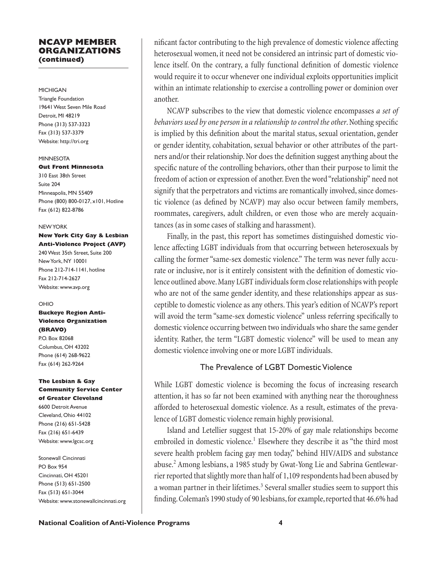## **NCAVP MEMBER ORGANIZATIONS (continued)**

### MICHIGAN

Triangle Foundation 19641 West Seven Mile Road Detroit, MI 48219 Phone (313) 537-3323 Fax (313) 537-3379 Website: http://tri.org

#### **MINNESOTA**

#### **Out Front Minnesota**

310 East 38th Street Suite 204 Minneapolis, MN 55409 Phone (800) 800-0127, x101, Hotline Fax (612) 822-8786

#### NEW YORK

### **New York City Gay & Lesbian Anti-Violence Project (AVP)**

240 West 35th Street, Suite 200 New York, NY 10001 Phone 212-714-1141, hotline Fax 212-714-2627 Website: www.avp.org

### OHIO

**Buckeye Region Anti-Violence Organization (BRAVO)** P.O. Box 82068 Columbus, OH 43202

Phone (614) 268-9622 Fax (614) 262-9264

### **The Lesbian & Gay Community Service Center of Greater Cleveland**

6600 Detroit Avenue Cleveland, Ohio 44102 Phone (216) 651-5428 Fax (216) 651-6439 Website: www.lgcsc.org

Stonewall Cincinnati PO Box 954 Cincinnati, OH 45201 Phone (513) 651-2500 Fax (513) 651-3044 Website: www.stonewallcincinnati.org

nificant factor contributing to the high prevalence of domestic violence affecting heterosexual women, it need not be considered an intrinsic part of domestic violence itself. On the contrary, a fully functional definition of domestic violence would require it to occur whenever one individual exploits opportunities implicit within an intimate relationship to exercise a controlling power or dominion over another.

NCAVP subscribes to the view that domestic violence encompasses *a set of*  behaviors used by one person in a relationship to control the other. Nothing specific is implied by this definition about the marital status, sexual orientation, gender or gender identity, cohabitation, sexual behavior or other attributes of the partners and/or their relationship. Nor does the definition suggest anything about the specific nature of the controlling behaviors, other than their purpose to limit the freedom of action or expression of another. Even the word "relationship" need not signify that the perpetrators and victims are romantically involved, since domestic violence (as defined by NCAVP) may also occur between family members, roommates, caregivers, adult children, or even those who are merely acquaintances (as in some cases of stalking and harassment).

Finally, in the past, this report has sometimes distinguished domestic violence affecting LGBT individuals from that occurring between heterosexuals by calling the former "same-sex domestic violence." The term was never fully accurate or inclusive, nor is it entirely consistent with the definition of domestic violence outlined above. Many LGBT individuals form close relationships with people who are not of the same gender identity, and these relationships appear as susceptible to domestic violence as any others. This year's edition of NCAVP's report will avoid the term "same-sex domestic violence" unless referring specifically to domestic violence occurring between two individuals who share the same gender identity. Rather, the term "LGBT domestic violence" will be used to mean any domestic violence involving one or more LGBT individuals.

# The Prevalence of LGBT Domestic Violence

While LGBT domestic violence is becoming the focus of increasing research attention, it has so far not been examined with anything near the thoroughness afforded to heterosexual domestic violence. As a result, estimates of the prevalence of LGBT domestic violence remain highly provisional.

Island and Letellier suggest that 15-20% of gay male relationships become embroiled in domestic violence.<sup>1</sup> Elsewhere they describe it as "the third most severe health problem facing gay men today," behind HIV/AIDS and substance abuse.<sup>2</sup> Among lesbians, a 1985 study by Gwat-Yong Lie and Sabrina Gentlewarrier reported that slightly more than half of 1,109 respondents had been abused by a woman partner in their lifetimes.<sup>3</sup> Several smaller studies seem to support this finding. Coleman's 1990 study of 90 lesbians, for example, reported that 46.6% had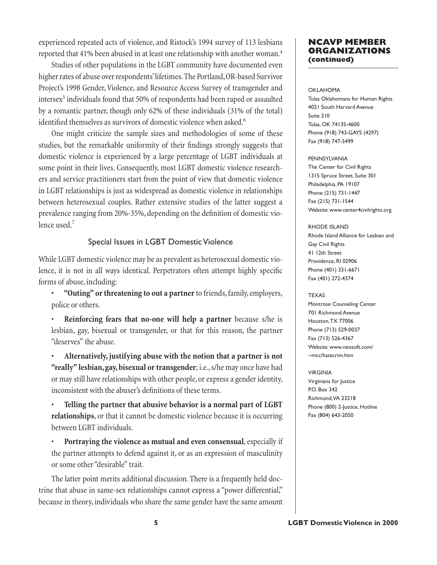experienced repeated acts of violence, and Ristock's 1994 survey of 113 lesbians reported that 41% been abused in at least one relationship with another woman.4

Studies of other populations in the LGBT community have documented even higher rates of abuse over respondents' lifetimes. The Portland, OR-based Survivor Project's 1998 Gender, Violence, and Resource Access Survey of transgender and intersex<sup>5</sup> individuals found that 50% of respondents had been raped or assaulted by a romantic partner, though only 62% of these individuals (31% of the total) identified themselves as survivors of domestic violence when asked.<sup>6</sup>

One might criticize the sample sizes and methodologies of some of these studies, but the remarkable uniformity of their findings strongly suggests that domestic violence is experienced by a large percentage of LGBT individuals at some point in their lives. Consequently, most LGBT domestic violence researchers and service practitioners start from the point of view that domestic violence in LGBT relationships is just as widespread as domestic violence in relationships between heterosexual couples. Rather extensive studies of the latter suggest a prevalence ranging from 20%-35%, depending on the definition of domestic violence used. $<sup>7</sup>$ </sup>

# Special Issues in LGBT Domestic Violence

While LGBT domestic violence may be as prevalent as heterosexual domestic violence, it is not in all ways identical. Perpetrators often attempt highly specific forms of abuse, including:

• **"Outing" or threatening to out a partner** to friends, family, employers, police or others.

• **Reinforcing fears that no-one will help a partner** because s/he is lesbian, gay, bisexual or transgender, or that for this reason, the partner "deserves" the abuse.

• **Alternatively, justifying abuse with the notion that a partner is not "really" lesbian, gay, bisexual or transgender**; i.e., s/he may once have had or may still have relationships with other people, or express a gender identity, inconsistent with the abuser's definitions of these terms.

• **Telling the partner that abusive behavior is a normal part of LGBT relationships**, or that it cannot be domestic violence because it is occurring between LGBT individuals.

• **Portraying the violence as mutual and even consensual**, especially if the partner attempts to defend against it, or as an expression of masculinity or some other "desirable" trait.

The latter point merits additional discussion. There is a frequently held doctrine that abuse in same-sex relationships cannot express a "power differential," because in theory, individuals who share the same gender have the same amount

# **NCAVP MEMBER ORGANIZATIONS (continued)**

#### OKLAHOMA

Tulsa Oklahomans for Human Rights 4021 South Harvard Avenue Suite 210 Tulsa, OK 74135-4600 Phone (918) 743-GAYS (4297) Fax (918) 747-5499

#### PENNSYLVANIA

The Center for Civil Rights 1315 Spruce Street, Suite 301 Philadelphia, PA 19107 Phone (215) 731-1447 Fax (215) 731-1544 Website: www.center4civilrights.org

#### RHODE ISLAND

Rhode Island Alliance for Lesbian and Gay Civil Rights 41 12th Street Providence, RI 02906 Phone (401) 331-6671 Fax (401) 272-4374

#### TEXAS

Montrose Counseling Center 701 Richmond Avenue Houston, TX 77006 Phone (713) 529-0037 Fax (713) 526-4367 Website: www.neosoft.com/ ~mcc/hatecrim.htm

#### VIRGINIA

Virginians for Justice P.O. Box 342 Richmond, VA 23218 Phone (800) 2-Justice, Hotline Fax (804) 643-2050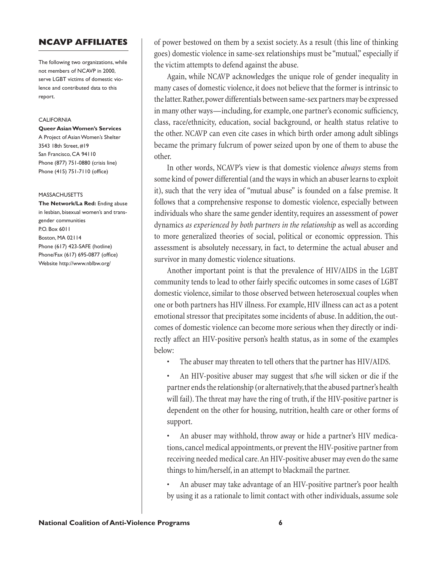## **NCAVP AFFILIATES**

The following two organizations, while not members of NCAVP in 2000, serve LGBT victims of domestic violence and contributed data to this report.

#### **CALIFORNIA**

**Queer Asian Women's Services** A Project of Asian Women's Shelter 3543 18th Street, #19 San Francisco, CA 94110 Phone (877) 751-0880 (crisis line) Phone (415) 751-7110 (office)

#### MASSACHUSETTS

**The Network/La Red:** Ending abuse in lesbian, bisexual women's and transgender communities P.O. Box 6011 Boston, MA 02114 Phone (617) 423-SAFE (hotline) Phone/Fax (617) 695-0877 (office) Website http://www.nblbw.org/

of power bestowed on them by a sexist society. As a result (this line of thinking goes) domestic violence in same-sex relationships must be "mutual," especially if the victim attempts to defend against the abuse.

Again, while NCAVP acknowledges the unique role of gender inequality in many cases of domestic violence, it does not believe that the former is intrinsic to the latter. Rather, power differentials between same-sex partners may be expressed in many other ways—including, for example, one partner's economic sufficiency, class, race/ethnicity, education, social background, or health status relative to the other. NCAVP can even cite cases in which birth order among adult siblings became the primary fulcrum of power seized upon by one of them to abuse the other.

In other words, NCAVP's view is that domestic violence *always* stems from some kind of power differential (and the ways in which an abuser learns to exploit it), such that the very idea of "mutual abuse" is founded on a false premise. It follows that a comprehensive response to domestic violence, especially between individuals who share the same gender identity, requires an assessment of power dynamics *as experienced by both partners in the relationship* as well as according to more generalized theories of social, political or economic oppression. This assessment is absolutely necessary, in fact, to determine the actual abuser and survivor in many domestic violence situations.

Another important point is that the prevalence of HIV/AIDS in the LGBT community tends to lead to other fairly specific outcomes in some cases of LGBT domestic violence, similar to those observed between heterosexual couples when one or both partners has HIV illness. For example, HIV illness can act as a potent emotional stressor that precipitates some incidents of abuse. In addition, the outcomes of domestic violence can become more serious when they directly or indirectly affect an HIV-positive person's health status, as in some of the examples below:

- The abuser may threaten to tell others that the partner has HIV/AIDS.
- An HIV-positive abuser may suggest that s/he will sicken or die if the partner ends the relationship (or alternatively, that the abused partner's health will fail). The threat may have the ring of truth, if the HIV-positive partner is dependent on the other for housing, nutrition, health care or other forms of support.

• An abuser may withhold, throw away or hide a partner's HIV medications, cancel medical appointments, or prevent the HIV-positive partner from receiving needed medical care. An HIV-positive abuser may even do the same things to him/herself, in an attempt to blackmail the partner.

• An abuser may take advantage of an HIV-positive partner's poor health by using it as a rationale to limit contact with other individuals, assume sole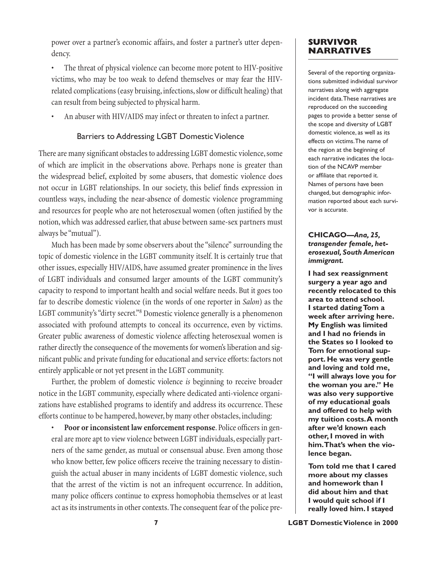power over a partner's economic affairs, and foster a partner's utter dependency.

The threat of physical violence can become more potent to HIV-positive victims, who may be too weak to defend themselves or may fear the HIVrelated complications (easy bruising, infections, slow or difficult healing) that can result from being subjected to physical harm.

An abuser with HIV/AIDS may infect or threaten to infect a partner.

## Barriers to Addressing LGBT Domestic Violence

There are many significant obstacles to addressing LGBT domestic violence, some of which are implicit in the observations above. Perhaps none is greater than the widespread belief, exploited by some abusers, that domestic violence does not occur in LGBT relationships. In our society, this belief finds expression in countless ways, including the near-absence of domestic violence programming and resources for people who are not heterosexual women (often justified by the notion, which was addressed earlier, that abuse between same-sex partners must always be "mutual").

Much has been made by some observers about the "silence" surrounding the topic of domestic violence in the LGBT community itself. It is certainly true that other issues, especially HIV/AIDS, have assumed greater prominence in the lives of LGBT individuals and consumed larger amounts of the LGBT community's capacity to respond to important health and social welfare needs. But it goes too far to describe domestic violence (in the words of one reporter in *Salon*) as the LGBT community's "dirty secret."8 Domestic violence generally is a phenomenon associated with profound attempts to conceal its occurrence, even by victims. Greater public awareness of domestic violence affecting heterosexual women is rather directly the consequence of the movements for women's liberation and significant public and private funding for educational and service efforts: factors not entirely applicable or not yet present in the LGBT community.

Further, the problem of domestic violence *is* beginning to receive broader notice in the LGBT community, especially where dedicated anti-violence organizations have established programs to identify and address its occurrence. These efforts continue to be hampered, however, by many other obstacles, including:

Poor or inconsistent law enforcement response. Police officers in general are more apt to view violence between LGBT individuals, especially partners of the same gender, as mutual or consensual abuse. Even among those who know better, few police officers receive the training necessary to distinguish the actual abuser in many incidents of LGBT domestic violence, such that the arrest of the victim is not an infrequent occurrence. In addition, many police officers continue to express homophobia themselves or at least act as its instruments in other contexts. The consequent fear of the police pre-

# **SURVIVOR NARRATIVES**

Several of the reporting organizations submitted individual survivor narratives along with aggregate incident data. These narratives are reproduced on the succeeding pages to provide a better sense of the scope and diversity of LGBT domestic violence, as well as its effects on victims. The name of the region at the beginning of each narrative indicates the location of the NCAVP member or affiliate that reported it. Names of persons have been changed, but demographic information reported about each survivor is accurate.

## **CHICAGO—***Ana, 25, transgender female, heterosexual, South American immigrant.*

**I had sex reassignment surgery a year ago and recently relocated to this area to attend school. I started dating Tom a week after arriving here. My English was limited and I had no friends in the States so I looked to Tom for emotional support. He was very gentle and loving and told me, "I will always love you for the woman you are." He was also very supportive of my educational goals and offered to help with my tuition costs. A month after we'd known each other, I moved in with him. That's when the violence began.**

**Tom told me that I cared more about my classes and homework than I did about him and that I would quit school if I really loved him. I stayed**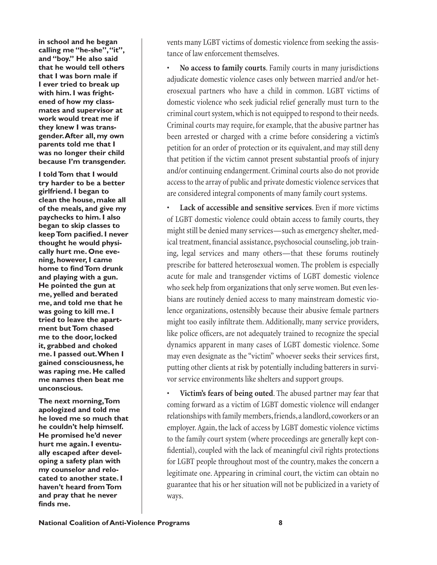**in school and he began calling me "he-she", "it", and "boy." He also said that he would tell others that I was born male if I ever tried to break up with him. I was frightened of how my classmates and supervisor at work would treat me if they knew I was transgender. After all, my own parents told me that I was no longer their child because I'm transgender.**

**I told Tom that I would try harder to be a better girlfriend. I began to clean the house, make all of the meals, and give my paychecks to him. I also began to skip classes to keep Tom pacified. I never thought he would physically hurt me. One evening, however, I came home to find Tom drunk and playing with a gun. He pointed the gun at me, yelled and berated me, and told me that he was going to kill me. I tried to leave the apartment but Tom chased me to the door, locked it, grabbed and choked me. I passed out. When I gained consciousness, he was raping me. He called me names then beat me unconscious.**

**The next morning, Tom apologized and told me he loved me so much that he couldn't help himself. He promised he'd never hurt me again. I eventually escaped after developing a safety plan with my counselor and relocated to another state. I haven't heard from Tom and pray that he never finds me.**

vents many LGBT victims of domestic violence from seeking the assistance of law enforcement themselves.

• **No access to family courts**. Family courts in many jurisdictions adjudicate domestic violence cases only between married and/or heterosexual partners who have a child in common. LGBT victims of domestic violence who seek judicial relief generally must turn to the criminal court system, which is not equipped to respond to their needs. Criminal courts may require, for example, that the abusive partner has been arrested or charged with a crime before considering a victim's petition for an order of protection or its equivalent, and may still deny that petition if the victim cannot present substantial proofs of injury and/or continuing endangerment. Criminal courts also do not provide access to the array of public and private domestic violence services that are considered integral components of many family court systems.

• **Lack of accessible and sensitive services**. Even if more victims of LGBT domestic violence could obtain access to family courts, they might still be denied many services—such as emergency shelter, medical treatment, financial assistance, psychosocial counseling, job training, legal services and many others—that these forums routinely prescribe for battered heterosexual women. The problem is especially acute for male and transgender victims of LGBT domestic violence who seek help from organizations that only serve women. But even lesbians are routinely denied access to many mainstream domestic violence organizations, ostensibly because their abusive female partners might too easily infiltrate them. Additionally, many service providers, like police officers, are not adequately trained to recognize the special dynamics apparent in many cases of LGBT domestic violence. Some may even designate as the "victim" whoever seeks their services first, putting other clients at risk by potentially including batterers in survivor service environments like shelters and support groups.

• **Victim's fears of being outed**. The abused partner may fear that coming forward as a victim of LGBT domestic violence will endanger relationships with family members, friends, a landlord, coworkers or an employer. Again, the lack of access by LGBT domestic violence victims to the family court system (where proceedings are generally kept confidential), coupled with the lack of meaningful civil rights protections for LGBT people throughout most of the country, makes the concern a legitimate one. Appearing in criminal court, the victim can obtain no guarantee that his or her situation will not be publicized in a variety of ways.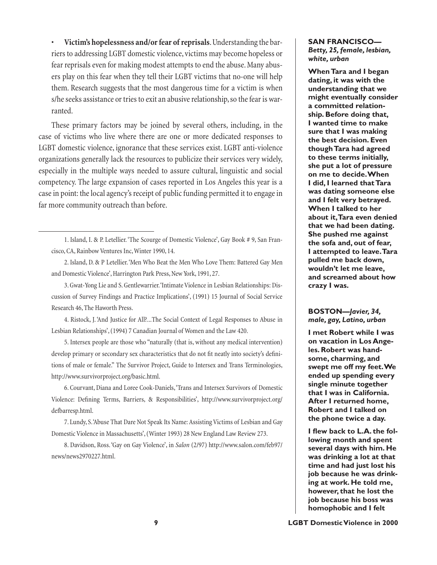• **Victim's hopelessness and/or fear of reprisals**. Understanding the barriers to addressing LGBT domestic violence, victims may become hopeless or fear reprisals even for making modest attempts to end the abuse. Many abusers play on this fear when they tell their LGBT victims that no-one will help them. Research suggests that the most dangerous time for a victim is when s/he seeks assistance or tries to exit an abusive relationship, so the fear is warranted.

These primary factors may be joined by several others, including, in the case of victims who live where there are one or more dedicated responses to LGBT domestic violence, ignorance that these services exist. LGBT anti-violence organizations generally lack the resources to publicize their services very widely, especially in the multiple ways needed to assure cultural, linguistic and social competency. The large expansion of cases reported in Los Angeles this year is a case in point: the local agency's receipt of public funding permitted it to engage in far more community outreach than before.

3. Gwat-Yong Lie and S. Gentlewarrier. 'Intimate Violence in Lesbian Relationships: Discussion of Survey Findings and Practice Implications', (1991) 15 Journal of Social Service Research 46, The Haworth Press.

4. Ristock, J. 'And Justice for All?...The Social Context of Legal Responses to Abuse in Lesbian Relationships', (1994) 7 Canadian Journal of Women and the Law 420.

5. Intersex people are those who "naturally (that is, without any medical intervention) develop primary or secondary sex characteristics that do not fit neatly into society's definitions of male or female." The Survivor Project, Guide to Intersex and Trans Terminologies, http://www.survivorproject.org/basic.html.

6. Courvant, Diana and Loree Cook-Daniels, 'Trans and Intersex Survivors of Domestic Violence: Defining Terms, Barriers, & Responsibilities', http://www.survivorproject.org/ defbarresp.html.

7. Lundy, S. 'Abuse That Dare Not Speak Its Name: Assisting Victims of Lesbian and Gay Domestic Violence in Massachusetts', (Winter 1993) 28 New England Law Review 273.

8. Davidson, Ross. 'Gay on Gay Violence', in *Salon* (2/97) http://www.salon.com/feb97/ news/news2970227.html.

### **SAN FRANCISCO —** *Betty, 25, female, lesbian, white, urban*

**When Tara and I began dating, it was with the understanding that we might eventually consider a committed relationship. Before doing that, I wanted time to make sure that I was making the best decision. Even though Tara had agreed to these terms initially, she put a lot of pressure on me to decide. When I did, I learned that Tara was dating someone else and I felt very betrayed. When I talked to her about it, Tara even denied that we had been dating. She pushed me against the sofa and, out of fear, I attempted to leave. Tara pulled me back down, wouldn't let me leave, and screamed about how crazy I was.**

### **BOSTON—***Javier, 34, male, gay, Latino, urban*

**I met Robert while I was on vacation in Los Angeles. Robert was handsome, charming, and swept me off my feet. We ended up spending every single minute together that I was in California. After I returned home, Robert and I talked on the phone twice a day.** 

**I flew back to L.A. the following month and spent several days with him. He was drinking a lot at that time and had just lost his job because he was drinking at work. He told me, however, that he lost the job because his boss was homophobic and I felt** 

<sup>1.</sup> Island, I. & P. Letellier. 'The Scourge of Domestic Violence', Gay Book # 9, San Francisco, CA, Rainbow Ventures Inc, Winter 1990, 14.

<sup>2.</sup> Island, D. & P Letellier. 'Men Who Beat the Men Who Love Them: Battered Gay Men and Domestic Violence', Harrington Park Press, New York, 1991, 27.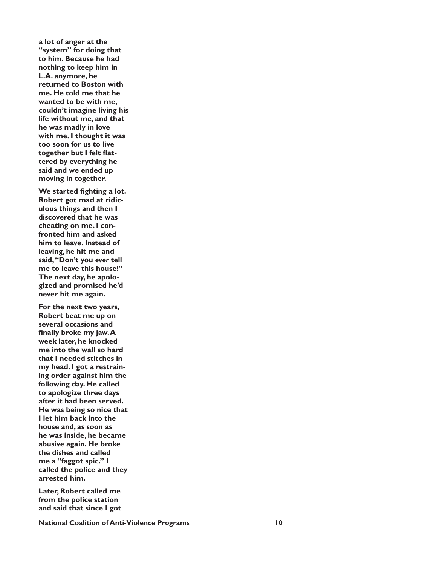**a lot of anger at the "system" for doing that to him. Because he had nothing to keep him in L.A. anymore, he returned to Boston with me. He told me that he wanted to be with me, couldn't imagine living his life without me, and that he was madly in love with me. I thought it was too soon for us to live together but I felt flattered by everything he said and we ended up moving in together.**

**We started fighting a lot. Robert got mad at ridiculous things and then I discovered that he was cheating on me. I confronted him and asked him to leave. Instead of leaving, he hit me and said, "Don't you** *ever* **tell me to leave this house!" The next day, he apologized and promised he'd never hit me again.**

**For the next two years, Robert beat me up on several occasions and finally broke my jaw. A week later, he knocked me into the wall so hard that I needed stitches in my head. I got a restraining order against him the following day. He called to apologize three days after it had been served. He was being so nice that I let him back into the house and, as soon as he was inside, he became abusive again. He broke the dishes and called me a "faggot spic." I called the police and they arrested him.**

**Later, Robert called me from the police station and said that since I got** 

**National Coalition of Anti-Violence Programs 10**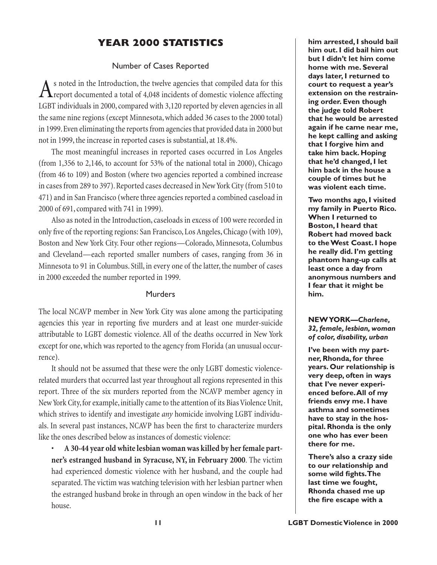# **YEAR 2000 STATISTICS**

# Number of Cases Reported

As noted in the Introduction, the twelve agencies that compiled data for this report documented a total of 4,048 incidents of domestic violence affecting LGBT individuals in 2000, compared with 3,120 reported by eleven agencies in all the same nine regions (except Minnesota, which added 36 cases to the 2000 total) in 1999. Even eliminating the reports from agencies that provided data in 2000 but not in 1999, the increase in reported cases is substantial, at 18.4%.

The most meaningful increases in reported cases occurred in Los Angeles (from 1,356 to 2,146, to account for 53% of the national total in 2000), Chicago (from 46 to 109) and Boston (where two agencies reported a combined increase in cases from 289 to 397). Reported cases decreased in New York City (from 510 to 471) and in San Francisco (where three agencies reported a combined caseload in 2000 of 691, compared with 741 in 1999).

Also as noted in the Introduction, caseloads in excess of 100 were recorded in only five of the reporting regions: San Francisco, Los Angeles, Chicago (with 109), Boston and New York City. Four other regions—Colorado, Minnesota, Columbus and Cleveland—each reported smaller numbers of cases, ranging from 36 in Minnesota to 91 in Columbus. Still, in every one of the latter, the number of cases in 2000 exceeded the number reported in 1999.

# Murders

The local NCAVP member in New York City was alone among the participating agencies this year in reporting five murders and at least one murder-suicide attributable to LGBT domestic violence. All of the deaths occurred in New York except for one, which was reported to the agency from Florida (an unusual occurrence).

It should not be assumed that these were the only LGBT domestic violencerelated murders that occurred last year throughout all regions represented in this report. Three of the six murders reported from the NCAVP member agency in New York City, for example, initially came to the attention of its Bias Violence Unit, which strives to identify and investigate *any* homicide involving LGBT individuals. In several past instances, NCAVP has been the first to characterize murders like the ones described below as instances of domestic violence:

• **A 30-44 year old white lesbian woman was killed by her female partner's estranged husband in Syracuse, NY, in February 2000**. The victim had experienced domestic violence with her husband, and the couple had separated. The victim was watching television with her lesbian partner when the estranged husband broke in through an open window in the back of her house.

**him arrested, I should bail him out. I did bail him out but I didn't let him come home with me. Several days later, I returned to court to request a year's extension on the restraining order. Even though the judge told Robert that he would be arrested again if he came near me, he kept calling and asking that I forgive him and take him back. Hoping that he'd changed, I let him back in the house a couple of times but he was violent each time.**

**Two months ago, I visited my family in Puerto Rico. When I returned to Boston, I heard that Robert had moved back to the West Coast. I hope he really did. I'm getting phantom hang-up calls at least once a day from anonymous numbers and I fear that it might be him.**

# **NEW YORK—***Charlene, 32, female, lesbian, woman of color, disability, urban*

**I've been with my partner, Rhonda, for three years. Our relationship is very deep, often in ways that I've never experienced before. All of my friends envy me. I have asthma and sometimes have to stay in the hospital. Rhonda is the only one who has ever been there for me.**

**There's also a crazy side to our relationship and some wild fights. The last time we fought, Rhonda chased me up the fire escape with a**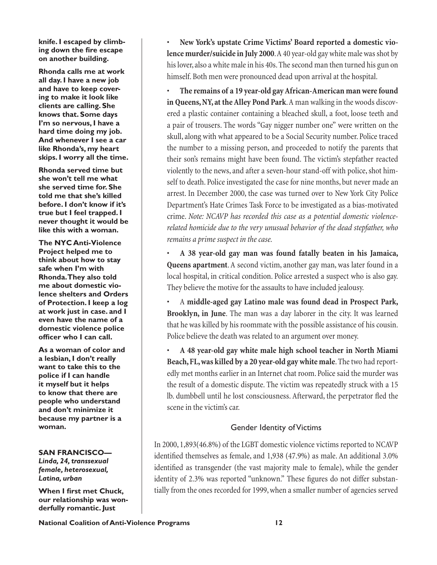**knife. I escaped by climbing down the fire escape on another building.**

**Rhonda calls me at work all day. I have a new job and have to keep covering to make it look like clients are calling. She knows that. Some days I'm so nervous, I have a hard time doing my job. And whenever I see a car like Rhonda's, my heart skips. I worry all the time.**

**Rhonda served time but she won't tell me what she served time for. She told me that she's killed before. I don't know if it's true but I feel trapped. I never thought it would be like this with a woman.**

**The NYC Anti-Violence Project helped me to think about how to stay safe when I'm with Rhonda. They also told me about domestic violence shelters and Orders of Protection. I keep a log at work just in case. and I even have the name of a domestic violence police officer who I can call.** 

**As a woman of color and a lesbian, I don't really want to take this to the police if I can handle it myself but it helps to know that there are people who understand and don't minimize it because my partner is a woman.**

### **SAN FRANCISCO—**

*Linda, 24, transsexual female, heterosexual, Latina, urban*

**When I first met Chuck, our relationship was wonderfully romantic. Just** 

• **New York's upstate Crime Victims' Board reported a domestic violence murder/suicide in July 2000**. A 40 year-old gay white male was shot by his lover, also a white male in his 40s. The second man then turned his gun on himself. Both men were pronounced dead upon arrival at the hospital.

• **The remains of a 19 year-old gay African-American man were found in Queens, NY, at the Alley Pond Park**. A man walking in the woods discovered a plastic container containing a bleached skull, a foot, loose teeth and a pair of trousers. The words "Gay nigger number one" were written on the skull, along with what appeared to be a Social Security number. Police traced the number to a missing person, and proceeded to notify the parents that their son's remains might have been found. The victim's stepfather reacted violently to the news, and after a seven-hour stand-off with police, shot himself to death. Police investigated the case for nine months, but never made an arrest. In December 2000, the case was turned over to New York City Police Department's Hate Crimes Task Force to be investigated as a bias-motivated crime. *Note: NCAVP has recorded this case as a potential domestic violencerelated homicide due to the very unusual behavior of the dead stepfather, who remains a prime suspect in the case.*

• **A 38 year-old gay man was found fatally beaten in his Jamaica, Queens apartment**. A second victim, another gay man, was later found in a local hospital, in critical condition. Police arrested a suspect who is also gay. They believe the motive for the assaults to have included jealousy.

• A **middle-aged gay Latino male was found dead in Prospect Park, Brooklyn, in June**. The man was a day laborer in the city. It was learned that he was killed by his roommate with the possible assistance of his cousin. Police believe the death was related to an argument over money.

• **A 48 year-old gay white male high school teacher in North Miami Beach, FL, was killed by a 20 year-old gay white male**. The two had reportedly met months earlier in an Internet chat room. Police said the murder was the result of a domestic dispute. The victim was repeatedly struck with a 15 lb. dumbbell until he lost consciousness. Afterward, the perpetrator fled the scene in the victim's car.

### Gender Identity of Victims

In 2000, 1,893(46.8%) of the LGBT domestic violence victims reported to NCAVP identified themselves as female, and  $1,938$  (47.9%) as male. An additional  $3.0\%$ identified as transgender (the vast majority male to female), while the gender identity of 2.3% was reported "unknown." These figures do not differ substantially from the ones recorded for 1999, when a smaller number of agencies served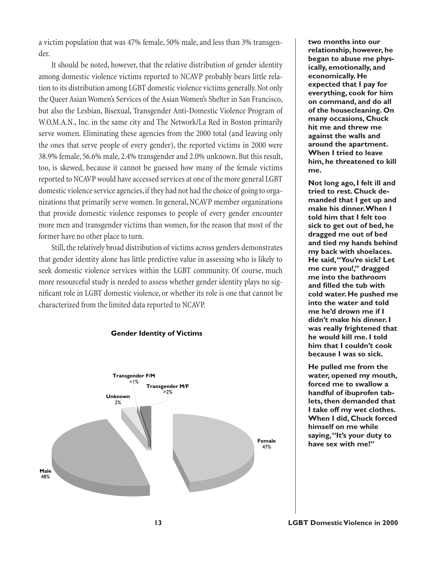a victim population that was 47% female, 50% male, and less than 3% transgender.

It should be noted, however, that the relative distribution of gender identity among domestic violence victims reported to NCAVP probably bears little relation to its distribution among LGBT domestic violence victims generally. Not only the Queer Asian Women's Services of the Asian Women's Shelter in San Francisco, but also the Lesbian, Bisexual, Transgender Anti-Domestic Violence Program of W.O.M.A.N., Inc. in the same city and The Network/La Red in Boston primarily serve women. Eliminating these agencies from the 2000 total (and leaving only the ones that serve people of every gender), the reported victims in 2000 were 38.9% female, 56.6% male, 2.4% transgender and 2.0% unknown. But this result, too, is skewed, because it cannot be guessed how many of the female victims reported to NCAVP would have accessed services at one of the more general LGBT domestic violence service agencies, if they had not had the choice of going to organizations that primarily serve women. In general, NCAVP member organizations that provide domestic violence responses to people of every gender encounter more men and transgender victims than women, for the reason that most of the former have no other place to turn.

Still, the relatively broad distribution of victims across genders demonstrates that gender identity alone has little predictive value in assessing who is likely to seek domestic violence services within the LGBT community. Of course, much more resourceful study is needed to assess whether gender identity plays no significant role in LGBT domestic violence, or whether its role is one that cannot be characterized from the limited data reported to NCAVP.

**Gender Identity of Victims**



**two months into our relationship, however, he began to abuse me physically, emotionally, and economically. He expected that I pay for everything, cook for him on command, and do all of the housecleaning. On many occasions, Chuck hit me and threw me against the walls and around the apartment. When I tried to leave him, he threatened to kill me.**

**Not long ago, I felt ill and tried to rest. Chuck demanded that I get up and make his dinner. When I told him that I felt too sick to get out of bed, he dragged me out of bed and tied my hands behind my back with shoelaces. He said, "You're sick? Let me cure you!," dragged me into the bathroom and filled the tub with cold water. He pushed me into the water and told me he'd drown me if I didn't make his dinner. I was really frightened that he would kill me. I told him that I couldn't cook because I was so sick.**

**He pulled me from the water, opened my mouth, forced me to swallow a handful of ibuprofen tablets, then demanded that I take off my wet clothes. When I did, Chuck forced himself on me while saying, "It's your duty to have sex with me!"**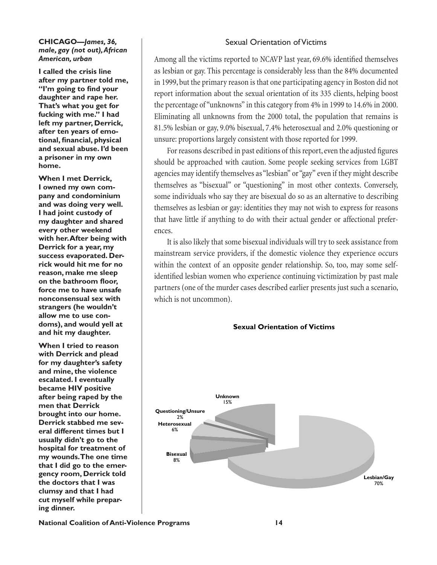### **CHICAGO—***James, 36, male, gay (not out), African American, urban*

**I called the crisis line after my partner told me, "I'm going to find your daughter and rape her. That's what you get for fucking with me." I had left my partner, Derrick, after ten years of emotional, financial, physical and sexual abuse. I'd been a prisoner in my own home.**

**When I met Derrick, I owned my own company and condominium and was doing very well. I had joint custody of my daughter and shared every other weekend with her. After being with Derrick for a year, my success evaporated. Derrick would hit me for no reason, make me sleep on the bathroom floor, force me to have unsafe nonconsensual sex with strangers (he wouldn't allow me to use condoms), and would yell at and hit my daughter.** 

**When I tried to reason with Derrick and plead for my daughter's safety and mine, the violence escalated. I eventually became HIV positive after being raped by the men that Derrick brought into our home. Derrick stabbed me several different times but I usually didn't go to the hospital for treatment of my wounds. The one time that I did go to the emergency room, Derrick told the doctors that I was clumsy and that I had cut myself while preparing dinner.**

# Sexual Orientation of Victims

Among all the victims reported to NCAVP last year, 69.6% identified themselves as lesbian or gay. This percentage is considerably less than the 84% documented in 1999, but the primary reason is that one participating agency in Boston did not report information about the sexual orientation of its 335 clients, helping boost the percentage of "unknowns" in this category from 4% in 1999 to 14.6% in 2000. Eliminating all unknowns from the 2000 total, the population that remains is 81.5% lesbian or gay, 9.0% bisexual, 7.4% heterosexual and 2.0% questioning or unsure: proportions largely consistent with those reported for 1999.

For reasons described in past editions of this report, even the adjusted figures should be approached with caution. Some people seeking services from LGBT agencies may identify themselves as "lesbian" or "gay" even if they might describe themselves as "bisexual" or "questioning" in most other contexts. Conversely, some individuals who say they are bisexual do so as an alternative to describing themselves as lesbian or gay: identities they may not wish to express for reasons that have little if anything to do with their actual gender or affectional preferences.

It is also likely that some bisexual individuals will try to seek assistance from mainstream service providers, if the domestic violence they experience occurs within the context of an opposite gender relationship. So, too, may some selfidentified lesbian women who experience continuing victimization by past male partners (one of the murder cases described earlier presents just such a scenario, which is not uncommon).



**National Coalition of Anti-Violence Programs 14**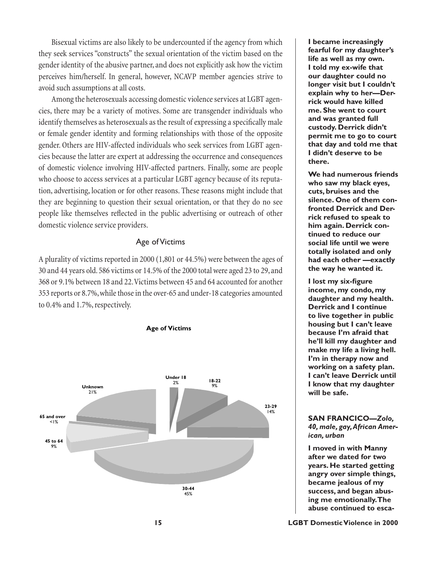Bisexual victims are also likely to be undercounted if the agency from which they seek services "constructs" the sexual orientation of the victim based on the gender identity of the abusive partner, and does not explicitly ask how the victim perceives him/herself. In general, however, NCAVP member agencies strive to avoid such assumptions at all costs.

Among the heterosexuals accessing domestic violence services at LGBT agencies, there may be a variety of motives. Some are transgender individuals who identify themselves as heterosexuals as the result of expressing a specifically male or female gender identity and forming relationships with those of the opposite gender. Others are HIV-affected individuals who seek services from LGBT agencies because the latter are expert at addressing the occurrence and consequences of domestic violence involving HIV-affected partners. Finally, some are people who choose to access services at a particular LGBT agency because of its reputation, advertising, location or for other reasons. These reasons might include that they are beginning to question their sexual orientation, or that they do no see people like themselves reflected in the public advertising or outreach of other domestic violence service providers.

## Age of Victims

A plurality of victims reported in 2000 (1,801 or 44.5%) were between the ages of 30 and 44 years old. 586 victims or 14.5% of the 2000 total were aged 23 to 29, and 368 or 9.1% between 18 and 22. Victims between 45 and 64 accounted for another 353 reports or 8.7%, while those in the over-65 and under-18 categories amounted to 0.4% and 1.7%, respectively.



**I became increasingly fearful for my daughter's life as well as my own. I told my ex-wife that our daughter could no longer visit but I couldn't explain why to her—Derrick would have killed me. She went to court and was granted full custody. Derrick didn't permit me to go to court that day and told me that I didn't deserve to be there.**

**We had numerous friends who saw my black eyes, cuts, bruises and the silence. One of them confronted Derrick and Derrick refused to speak to him again. Derrick continued to reduce our social life until we were totally isolated and only had each other —exactly the way he wanted it.**

**I lost my six-figure income, my condo, my daughter and my health. Derrick and I continue to live together in public housing but I can't leave because I'm afraid that he'll kill my daughter and make my life a living hell. I'm in therapy now and working on a safety plan. I can't leave Derrick until I know that my daughter will be safe.**

## **SAN FRANCICO—***Zolo, 40, male, gay, African American, urban*

**I moved in with Manny after we dated for two years. He started getting angry over simple things, became jealous of my success, and began abusing me emotionally. The abuse continued to esca-**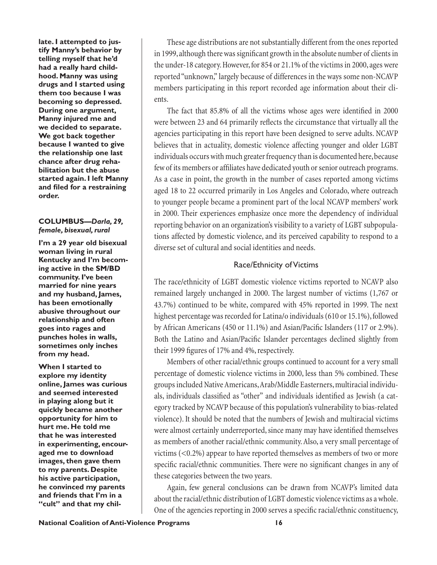**late. I attempted to justify Manny's behavior by telling myself that he'd had a really hard childhood. Manny was using drugs and I started using them too because I was becoming so depressed. During one argument, Manny injured me and we decided to separate. We got back together because I wanted to give the relationship one last chance after drug rehabilitation but the abuse started again. I left Manny and filed for a restraining order.**

## **COLUMBUS—***Darla, 29, female, bisexual, rural*

**I'm a 29 year old bisexual woman living in rural Kentucky and I'm becoming active in the SM/BD community. I've been married for nine years and my husband, James, has been emotionally abusive throughout our relationship and often goes into rages and punches holes in walls, sometimes only inches from my head.**

**When I started to explore my identity online, James was curious and seemed interested in playing along but it quickly became another opportunity for him to hurt me. He told me that he was interested in experimenting, encouraged me to download images, then gave them to my parents. Despite his active participation, he convinced my parents and friends that I'm in a "cult" and that my chil-**

These age distributions are not substantially different from the ones reported in 1999, although there was significant growth in the absolute number of clients in the under-18 category. However, for 854 or 21.1% of the victims in 2000, ages were reported "unknown," largely because of differences in the ways some non-NCAVP members participating in this report recorded age information about their clients.

The fact that 85.8% of all the victims whose ages were identified in 2000 were between 23 and 64 primarily reflects the circumstance that virtually all the agencies participating in this report have been designed to serve adults. NCAVP believes that in actuality, domestic violence affecting younger and older LGBT individuals occurs with much greater frequency than is documented here, because few of its members or affiliates have dedicated youth or senior outreach programs. As a case in point, the growth in the number of cases reported among victims aged 18 to 22 occurred primarily in Los Angeles and Colorado, where outreach to younger people became a prominent part of the local NCAVP members' work in 2000. Their experiences emphasize once more the dependency of individual reporting behavior on an organization's visibility to a variety of LGBT subpopulations affected by domestic violence, and its perceived capability to respond to a diverse set of cultural and social identities and needs.

# Race/Ethnicity of Victims

The race/ethnicity of LGBT domestic violence victims reported to NCAVP also remained largely unchanged in 2000. The largest number of victims (1,767 or 43.7%) continued to be white, compared with 45% reported in 1999. The next highest percentage was recorded for Latina/o individuals (610 or 15.1%), followed by African Americans (450 or 11.1%) and Asian/Pacific Islanders (117 or 2.9%). Both the Latino and Asian/Pacific Islander percentages declined slightly from their 1999 figures of 17% and 4%, respectively.

Members of other racial/ethnic groups continued to account for a very small percentage of domestic violence victims in 2000, less than 5% combined. These groups included Native Americans, Arab/Middle Easterners, multiracial individuals, individuals classified as "other" and individuals identified as Jewish (a category tracked by NCAVP because of this population's vulnerability to bias-related violence). It should be noted that the numbers of Jewish and multiracial victims were almost certainly underreported, since many may have identified themselves as members of another racial/ethnic community. Also, a very small percentage of victims (<0.2%) appear to have reported themselves as members of two or more specific racial/ethnic communities. There were no significant changes in any of these categories between the two years.

Again, few general conclusions can be drawn from NCAVP's limited data about the racial/ethnic distribution of LGBT domestic violence victims as a whole. One of the agencies reporting in 2000 serves a specific racial/ethnic constituency,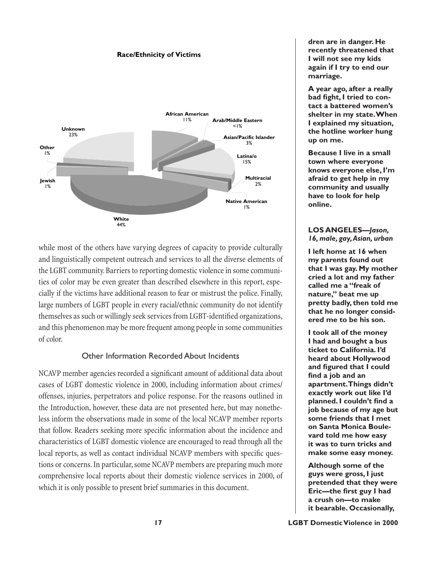### **Race/Ethnicity of Victims**



while most of the others have varying degrees of capacity to provide culturally and linguistically competent outreach and services to all the diverse elements of the LGBT community. Barriers to reporting domestic violence in some communities of color may be even greater than described elsewhere in this report, especially if the victims have additional reason to fear or mistrust the police. Finally, large numbers of LGBT people in every racial/ethnic community do not identify themselves as such or willingly seek services from LGBT-identified organizations, and this phenomenon may be more frequent among people in some communities of color.

## Other Information Recorded About Incidents

NCAVP member agencies recorded a significant amount of additional data about cases of LGBT domestic violence in 2000, including information about crimes/ offenses, injuries, perpetrators and police response. For the reasons outlined in the Introduction, however, these data are not presented here, but may nonetheless inform the observations made in some of the local NCAVP member reports that follow. Readers seeking more specific information about the incidence and characteristics of LGBT domestic violence are encouraged to read through all the local reports, as well as contact individual NCAVP members with specific questions or concerns. In particular, some NCAVP members are preparing much more comprehensive local reports about their domestic violence services in 2000, of which it is only possible to present brief summaries in this document.

**dren are in danger. He recently threatened that I will not see my kids again if I try to end our marriage.**

**A year ago, after a really bad fight, I tried to contact a battered women's shelter in my state. When I explained my situation, the hotline worker hung up on me.** 

**Because I live in a small town where everyone knows everyone else, I'm afraid to get help in my community and usually have to look for help online.**

# **LOS ANGELES—***Jason, 16, male, gay, Asian, urban*

**I left home at 16 when my parents found out that I was gay. My mother cried a lot and my father called me a "freak of nature," beat me up pretty badly, then told me that he no longer considered me to be his son.**

**I took all of the money I had and bought a bus ticket to California. I'd heard about Hollywood and figured that I could find a job and an apartment. Things didn't exactly work out like I'd planned. I couldn't find a job because of my age but some friends that I met on Santa Monica Boulevard told me how easy it was to turn tricks and make some easy money.** 

**Although some of the guys were gross, I just pretended that they were Eric—the first guy I had a crush on—to make it bearable. Occasionally,**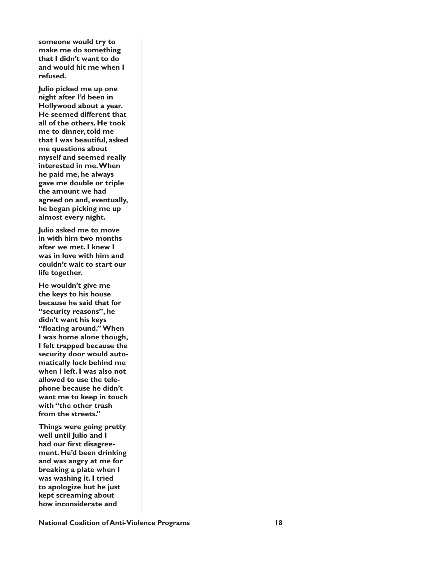**someone would try to make me do something that I didn't want to do and would hit me when I refused.**

**Julio picked me up one night after I'd been in Hollywood about a year. He seemed different that all of the others. He took me to dinner, told me that I was beautiful, asked me questions about myself and seemed really interested in me. When he paid me, he always gave me double or triple the amount we had agreed on and, eventually, he began picking me up almost every night.**

**Julio asked me to move in with him two months after we met. I knew I was in love with him and couldn't wait to start our life together.** 

**He wouldn't give me the keys to his house because he said that for "security reasons", he didn't want his keys "floating around." When I was home alone though, I felt trapped because the security door would automatically lock behind me when I left. I was also not allowed to use the telephone because he didn't want me to keep in touch with "the other trash from the streets."**

**Things were going pretty well until Julio and I had our first disagreement. He'd been drinking and was angry at me for breaking a plate when I was washing it. I tried to apologize but he just kept screaming about how inconsiderate and** 

**National Coalition of Anti-Violence Programs 18**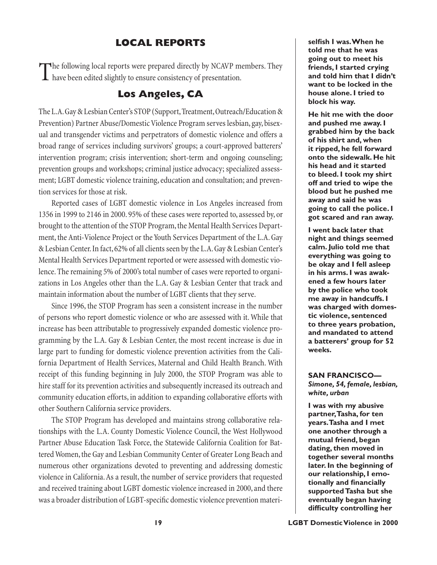# **LOCAL REPORTS**

The following local reports were prepared directly by NCAVP members. They  $\blacksquare$  have been edited slightly to ensure consistency of presentation.

# **Los Angeles, CA**

The L.A. Gay & Lesbian Center's STOP (Support, Treatment, Outreach/Education & Prevention) Partner Abuse/Domestic Violence Program serves lesbian, gay, bisexual and transgender victims and perpetrators of domestic violence and offers a broad range of services including survivors' groups; a court-approved batterers' intervention program; crisis intervention; short-term and ongoing counseling; prevention groups and workshops; criminal justice advocacy; specialized assessment; LGBT domestic violence training, education and consultation; and prevention services for those at risk.

Reported cases of LGBT domestic violence in Los Angeles increased from 1356 in 1999 to 2146 in 2000. 95% of these cases were reported to, assessed by, or brought to the attention of the STOP Program, the Mental Health Services Department, the Anti-Violence Project or the Youth Services Department of the L.A. Gay & Lesbian Center. In fact, 62% of all clients seen by the L.A. Gay & Lesbian Center's Mental Health Services Department reported or were assessed with domestic violence. The remaining 5% of 2000's total number of cases were reported to organizations in Los Angeles other than the L.A. Gay & Lesbian Center that track and maintain information about the number of LGBT clients that they serve.

Since 1996, the STOP Program has seen a consistent increase in the number of persons who report domestic violence or who are assessed with it. While that increase has been attributable to progressively expanded domestic violence programming by the L.A. Gay & Lesbian Center, the most recent increase is due in large part to funding for domestic violence prevention activities from the California Department of Health Services, Maternal and Child Health Branch. With receipt of this funding beginning in July 2000, the STOP Program was able to hire staff for its prevention activities and subsequently increased its outreach and community education efforts, in addition to expanding collaborative efforts with other Southern California service providers.

The STOP Program has developed and maintains strong collaborative relationships with the L.A. County Domestic Violence Council, the West Hollywood Partner Abuse Education Task Force, the Statewide California Coalition for Battered Women, the Gay and Lesbian Community Center of Greater Long Beach and numerous other organizations devoted to preventing and addressing domestic violence in California. As a result, the number of service providers that requested and received training about LGBT domestic violence increased in 2000, and there was a broader distribution of LGBT-specific domestic violence prevention materi**selfish I was. When he told me that he was going out to meet his friends, I started crying and told him that I didn't want to be locked in the house alone. I tried to block his way.** 

**He hit me with the door and pushed me away. I grabbed him by the back of his shirt and, when it ripped, he fell forward onto the sidewalk. He hit his head and it started to bleed. I took my shirt off and tried to wipe the blood but he pushed me away and said he was going to call the police. I got scared and ran away.**

**I went back later that night and things seemed calm. Julio told me that everything was going to be okay and I fell asleep in his arms. I was awakened a few hours later by the police who took me away in handcuffs. I was charged with domestic violence, sentenced to three years probation, and mandated to attend a batterers' group for 52 weeks.**

**SAN FRANCISCO—** *Simone, 54, female, lesbian, white, urban*

**I was with my abusive partner, Tasha, for ten years. Tasha and I met one another through a mutual friend, began dating, then moved in together several months later. In the beginning of our relationship, I emotionally and financially supported Tasha but she eventually began having difficulty controlling her**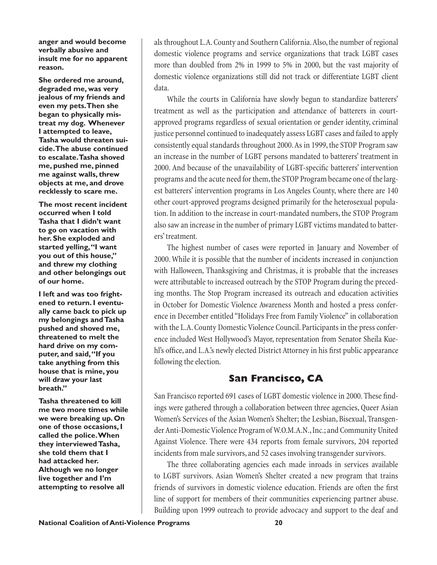**anger and would become verbally abusive and insult me for no apparent reason.** 

**She ordered me around, degraded me, was very jealous of my friends and even my pets. Then she began to physically mistreat my dog. Whenever I attempted to leave, Tasha would threaten suicide. The abuse continued to escalate. Tasha shoved me, pushed me, pinned me against walls, threw objects at me, and drove recklessly to scare me.**

**The most recent incident occurred when I told Tasha that I didn't want to go on vacation with her. She exploded and started yelling, "I want you out of this house," and threw my clothing and other belongings out of our home.** 

**I left and was too frightened to return. I eventually came back to pick up my belongings and Tasha pushed and shoved me, threatened to melt the hard drive on my computer, and said, "If you take anything from this house that is mine, you will draw your last breath."** 

**Tasha threatened to kill me two more times while we were breaking up. On one of those occasions, I called the police. When they interviewed Tasha, she told them that I had attacked her. Although we no longer live together and I'm attempting to resolve all** 

als throughout L.A. County and Southern California. Also, the number of regional domestic violence programs and service organizations that track LGBT cases more than doubled from 2% in 1999 to 5% in 2000, but the vast majority of domestic violence organizations still did not track or differentiate LGBT client data.

While the courts in California have slowly begun to standardize batterers' treatment as well as the participation and attendance of batterers in courtapproved programs regardless of sexual orientation or gender identity, criminal justice personnel continued to inadequately assess LGBT cases and failed to apply consistently equal standards throughout 2000. As in 1999, the STOP Program saw an increase in the number of LGBT persons mandated to batterers' treatment in 2000. And because of the unavailability of LGBT-specific batterers' intervention programs and the acute need for them, the STOP Program became one of the largest batterers' intervention programs in Los Angeles County, where there are 140 other court-approved programs designed primarily for the heterosexual population. In addition to the increase in court-mandated numbers, the STOP Program also saw an increase in the number of primary LGBT victims mandated to batterers' treatment.

The highest number of cases were reported in January and November of 2000. While it is possible that the number of incidents increased in conjunction with Halloween, Thanksgiving and Christmas, it is probable that the increases were attributable to increased outreach by the STOP Program during the preceding months. The Stop Program increased its outreach and education activities in October for Domestic Violence Awareness Month and hosted a press conference in December entitled "Holidays Free from Family Violence" in collaboration with the L.A. County Domestic Violence Council. Participants in the press conference included West Hollywood's Mayor, representation from Senator Sheila Kuehl's office, and L.A.'s newly elected District Attorney in his first public appearance following the election.

# **San Francisco, CA**

San Francisco reported 691 cases of LGBT domestic violence in 2000. These findings were gathered through a collaboration between three agencies, Queer Asian Women's Services of the Asian Women's Shelter; the Lesbian, Bisexual, Transgender Anti-Domestic Violence Program of W.O.M.A.N., Inc.; and Community United Against Violence. There were 434 reports from female survivors, 204 reported incidents from male survivors, and 52 cases involving transgender survivors.

The three collaborating agencies each made inroads in services available to LGBT survivors. Asian Women's Shelter created a new program that trains friends of survivors in domestic violence education. Friends are often the first line of support for members of their communities experiencing partner abuse. Building upon 1999 outreach to provide advocacy and support to the deaf and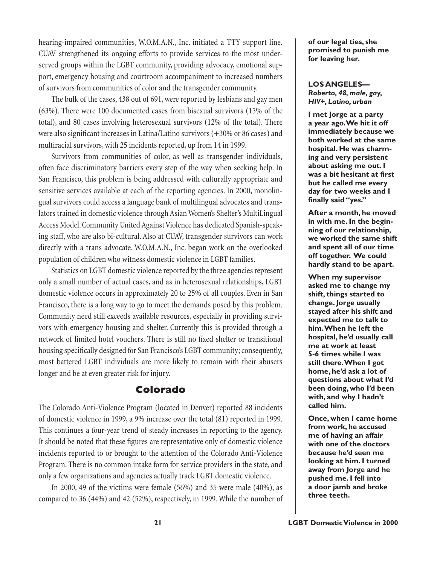hearing-impaired communities, W.O.M.A.N., Inc. initiated a TTY support line. CUAV strengthened its ongoing efforts to provide services to the most underserved groups within the LGBT community, providing advocacy, emotional support, emergency housing and courtroom accompaniment to increased numbers of survivors from communities of color and the transgender community.

The bulk of the cases, 438 out of 691, were reported by lesbians and gay men (63%). There were 100 documented cases from bisexual survivors (15% of the total), and 80 cases involving heterosexual survivors (12% of the total). There were also significant increases in Latina/Latino survivors  $(+30\% \text{ or } 86 \text{ cases})$  and multiracial survivors, with 25 incidents reported, up from 14 in 1999.

Survivors from communities of color, as well as transgender individuals, often face discriminatory barriers every step of the way when seeking help. In San Francisco, this problem is being addressed with culturally appropriate and sensitive services available at each of the reporting agencies. In 2000, monolingual survivors could access a language bank of multilingual advocates and translators trained in domestic violence through Asian Women's Shelter's MultiLingual Access Model. Community United Against Violence has dedicated Spanish-speaking staff, who are also bi-cultural. Also at CUAV, transgender survivors can work directly with a trans advocate. W.O.M.A.N., Inc. began work on the overlooked population of children who witness domestic violence in LGBT families.

Statistics on LGBT domestic violence reported by the three agencies represent only a small number of actual cases, and as in heterosexual relationships, LGBT domestic violence occurs in approximately 20 to 25% of all couples. Even in San Francisco, there is a long way to go to meet the demands posed by this problem. Community need still exceeds available resources, especially in providing survivors with emergency housing and shelter. Currently this is provided through a network of limited hotel vouchers. There is still no fixed shelter or transitional housing specifically designed for San Francisco's LGBT community; consequently, most battered LGBT individuals are more likely to remain with their abusers longer and be at even greater risk for injury.

# **Colorado**

The Colorado Anti-Violence Program (located in Denver) reported 88 incidents of domestic violence in 1999, a 9% increase over the total (81) reported in 1999. This continues a four-year trend of steady increases in reporting to the agency. It should be noted that these figures are representative only of domestic violence incidents reported to or brought to the attention of the Colorado Anti-Violence Program. There is no common intake form for service providers in the state, and only a few organizations and agencies actually track LGBT domestic violence.

In 2000, 49 of the victims were female (56%) and 35 were male (40%), as compared to 36 (44%) and 42 (52%), respectively, in 1999. While the number of

**of our legal ties, she promised to punish me for leaving her.**

## **LOS ANGELES—** *Roberto, 48, male, gay, HIV+, Latino, urban*

**I met Jorge at a party a year ago. We hit it off immediately because we both worked at the same hospital. He was charming and very persistent about asking me out. I was a bit hesitant at first but he called me every day for two weeks and I finally said "yes."** 

**After a month, he moved in with me. In the beginning of our relationship, we worked the same shift and spent all of our time off together. We could hardly stand to be apart.** 

**When my supervisor asked me to change my shift, things started to change. Jorge usually stayed after his shift and expected me to talk to him. When he left the hospital, he'd usually call me at work at least 5-6 times while I was still there. When I got home, he'd ask a lot of questions about what I'd been doing, who I'd been with, and why I hadn't called him.** 

**Once, when I came home from work, he accused me of having an affair with one of the doctors because he'd seen me looking at him. I turned away from Jorge and he pushed me. I fell into a door jamb and broke three teeth.**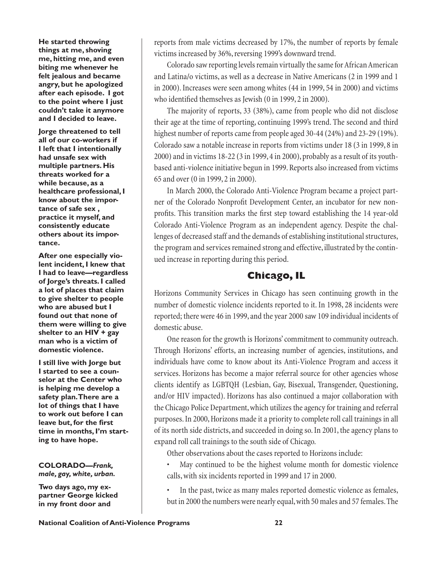**He started throwing things at me, shoving me, hitting me, and even biting me whenever he felt jealous and became angry, but he apologized after each episode. I got to the point where I just couldn't take it anymore and I decided to leave.** 

**Jorge threatened to tell all of our co-workers if I left that I intentionally had unsafe sex with multiple partners. His threats worked for a while because, as a healthcare professional, I know about the importance of safe sex , practice it myself, and consistently educate others about its importance.** 

**After one especially violent incident, I knew that I had to leave—regardless of Jorge's threats. I called a lot of places that claim to give shelter to people who are abused but I found out that none of them were willing to give shelter to an HIV + gay man who is a victim of domestic violence.** 

**I still live with Jorge but I started to see a counselor at the Center who is helping me develop a safety plan. There are a lot of things that I have to work out before I can leave but, for the first time in months, I'm starting to have hope.**

### **COLORADO—***Frank, male, gay, white, urban.*

**Two days ago, my expartner George kicked in my front door and** 

reports from male victims decreased by 17%, the number of reports by female victims increased by 36%, reversing 1999's downward trend.

Colorado saw reporting levels remain virtually the same for African American and Latina/o victims, as well as a decrease in Native Americans (2 in 1999 and 1 in 2000). Increases were seen among whites (44 in 1999, 54 in 2000) and victims who identified themselves as Jewish  $(0 \text{ in } 1999, 2 \text{ in } 2000)$ .

The majority of reports, 33 (38%), came from people who did not disclose their age at the time of reporting, continuing 1999's trend. The second and third highest number of reports came from people aged 30-44 (24%) and 23-29 (19%). Colorado saw a notable increase in reports from victims under 18 (3 in 1999, 8 in 2000) and in victims 18-22 (3 in 1999, 4 in 2000), probably as a result of its youthbased anti-violence initiative begun in 1999. Reports also increased from victims 65 and over (0 in 1999, 2 in 2000).

In March 2000, the Colorado Anti-Violence Program became a project partner of the Colorado Nonprofit Development Center, an incubator for new nonprofits. This transition marks the first step toward establishing the 14 year-old Colorado Anti-Violence Program as an independent agency. Despite the challenges of decreased staff and the demands of establishing institutional structures, the program and services remained strong and effective, illustrated by the continued increase in reporting during this period.

# **Chicago, IL**

Horizons Community Services in Chicago has seen continuing growth in the number of domestic violence incidents reported to it. In 1998, 28 incidents were reported; there were 46 in 1999, and the year 2000 saw 109 individual incidents of domestic abuse.

One reason for the growth is Horizons' commitment to community outreach. Through Horizons' efforts, an increasing number of agencies, institutions, and individuals have come to know about its Anti-Violence Program and access it services. Horizons has become a major referral source for other agencies whose clients identify as LGBTQH (Lesbian, Gay, Bisexual, Transgender, Questioning, and/or HIV impacted). Horizons has also continued a major collaboration with the Chicago Police Department, which utilizes the agency for training and referral purposes. In 2000, Horizons made it a priority to complete roll call trainings in all of its north side districts, and succeeded in doing so. In 2001, the agency plans to expand roll call trainings to the south side of Chicago.

Other observations about the cases reported to Horizons include:

May continued to be the highest volume month for domestic violence calls, with six incidents reported in 1999 and 17 in 2000.

In the past, twice as many males reported domestic violence as females, but in 2000 the numbers were nearly equal, with 50 males and 57 females. The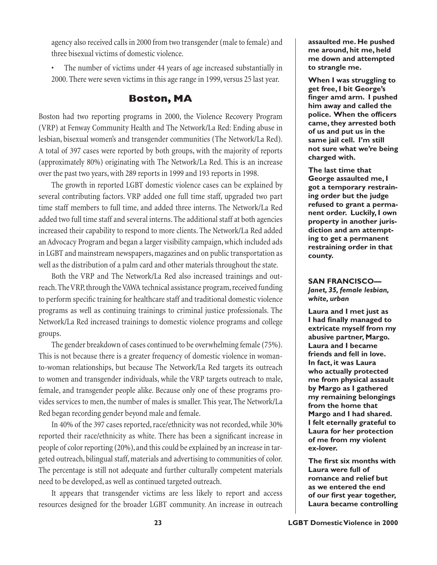agency also received calls in 2000 from two transgender (male to female) and three bisexual victims of domestic violence.

The number of victims under 44 years of age increased substantially in 2000. There were seven victims in this age range in 1999, versus 25 last year.

# **Boston, MA**

Boston had two reporting programs in 2000, the Violence Recovery Program (VRP) at Fenway Community Health and The Network/La Red: Ending abuse in lesbian, bisexual women's and transgender communities (The Network/La Red). A total of 397 cases were reported by both groups, with the majority of reports (approximately 80%) originating with The Network/La Red. This is an increase over the past two years, with 289 reports in 1999 and 193 reports in 1998.

The growth in reported LGBT domestic violence cases can be explained by several contributing factors. VRP added one full time staff, upgraded two part time staff members to full time, and added three interns. The Network/La Red added two full time staff and several interns. The additional staff at both agencies increased their capability to respond to more clients. The Network/La Red added an Advocacy Program and began a larger visibility campaign, which included ads in LGBT and mainstream newspapers, magazines and on public transportation as well as the distribution of a palm card and other materials throughout the state.

Both the VRP and The Network/La Red also increased trainings and outreach. The VRP, through the VAWA technical assistance program, received funding to perform specific training for healthcare staff and traditional domestic violence programs as well as continuing trainings to criminal justice professionals. The Network/La Red increased trainings to domestic violence programs and college groups.

The gender breakdown of cases continued to be overwhelming female (75%). This is not because there is a greater frequency of domestic violence in womanto-woman relationships, but because The Network/La Red targets its outreach to women and transgender individuals, while the VRP targets outreach to male, female, and transgender people alike. Because only one of these programs provides services to men, the number of males is smaller. This year, The Network/La Red began recording gender beyond male and female.

In 40% of the 397 cases reported, race/ethnicity was not recorded, while 30% reported their race/ethnicity as white. There has been a significant increase in people of color reporting (20%), and this could be explained by an increase in targeted outreach, bilingual staff, materials and advertising to communities of color. The percentage is still not adequate and further culturally competent materials need to be developed, as well as continued targeted outreach.

It appears that transgender victims are less likely to report and access resources designed for the broader LGBT community. An increase in outreach **assaulted me. He pushed me around, hit me, held me down and attempted to strangle me.**

**When I was struggling to get free, I bit George's finger amd arm. I pushed him away and called the police. When the officers came, they arrested both of us and put us in the same jail cell. I'm still not sure what we're being charged with.**

**The last time that George assaulted me, I got a temporary restraining order but the judge refused to grant a permanent order. Luckily, I own property in another jurisdiction and am attempting to get a permanent restraining order in that county.**

## **SAN FRANCISCO—** *Janet, 35, female lesbian,*

*white, urban*

**Laura and I met just as I had finally managed to extricate myself from my abusive partner, Margo. Laura and I became friends and fell in love. In fact, it was Laura who actually protected me from physical assault by Margo as I gathered my remaining belongings from the home that Margo and I had shared. I felt eternally grateful to Laura for her protection of me from my violent ex-lover.**

**The first six months with Laura were full of romance and relief but as we entered the end of our first year together, Laura became controlling**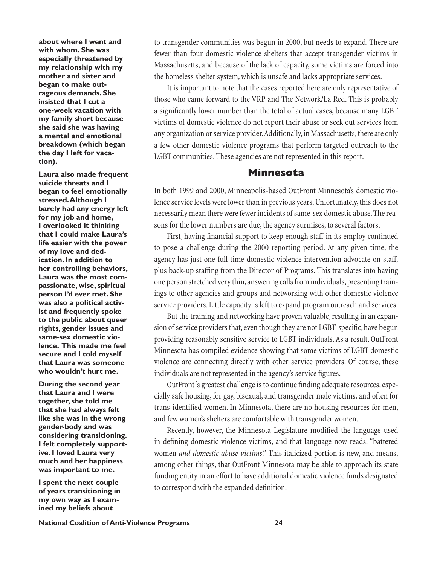**about where I went and with whom. She was especially threatened by my relationship with my mother and sister and began to make outrageous demands. She insisted that I cut a one-week vacation with my family short because she said she was having a mental and emotional breakdown (which began the day I left for vacation).**

**Laura also made frequent suicide threats and I began to feel emotionally stressed. Although I barely had any energy left for my job and home, I overlooked it thinking that I could make Laura's life easier with the power of my love and dedication. In addition to her controlling behaviors, Laura was the most compassionate, wise, spiritual person I'd ever met. She was also a political activist and frequently spoke to the public about queer rights, gender issues and same-sex domestic violence. This made me feel secure and I told myself that Laura was someone who wouldn't hurt me.**

**During the second year that Laura and I were together, she told me that she had always felt like she was in the wrong gender-body and was considering transitioning. I felt completely supportive. I loved Laura very much and her happiness was important to me.** 

**I spent the next couple of years transitioning in my own way as I examined my beliefs about** 

to transgender communities was begun in 2000, but needs to expand. There are fewer than four domestic violence shelters that accept transgender victims in Massachusetts, and because of the lack of capacity, some victims are forced into the homeless shelter system, which is unsafe and lacks appropriate services.

It is important to note that the cases reported here are only representative of those who came forward to the VRP and The Network/La Red. This is probably a significantly lower number than the total of actual cases, because many LGBT victims of domestic violence do not report their abuse or seek out services from any organization or service provider. Additionally, in Massachusetts, there are only a few other domestic violence programs that perform targeted outreach to the LGBT communities. These agencies are not represented in this report.

# **Minnesota**

In both 1999 and 2000, Minneapolis-based OutFront Minnesota's domestic violence service levels were lower than in previous years. Unfortunately, this does not necessarily mean there were fewer incidents of same-sex domestic abuse. The reasons for the lower numbers are due, the agency surmises, to several factors.

First, having financial support to keep enough staff in its employ continued to pose a challenge during the 2000 reporting period. At any given time, the agency has just one full time domestic violence intervention advocate on staff, plus back-up staffing from the Director of Programs. This translates into having one person stretched very thin, answering calls from individuals, presenting trainings to other agencies and groups and networking with other domestic violence service providers. Little capacity is left to expand program outreach and services.

But the training and networking have proven valuable, resulting in an expansion of service providers that, even though they are not LGBT-specific, have begun providing reasonably sensitive service to LGBT individuals. As a result, OutFront Minnesota has compiled evidence showing that some victims of LGBT domestic violence are connecting directly with other service providers. Of course, these individuals are not represented in the agency's service figures.

OutFront's greatest challenge is to continue finding adequate resources, especially safe housing, for gay, bisexual, and transgender male victims, and often for trans-identified women. In Minnesota, there are no housing resources for men, and few women's shelters are comfortable with transgender women.

Recently, however, the Minnesota Legislature modified the language used in defining domestic violence victims, and that language now reads: "battered women *and domestic abuse victims*." This italicized portion is new, and means, among other things, that OutFront Minnesota may be able to approach its state funding entity in an effort to have additional domestic violence funds designated to correspond with the expanded definition.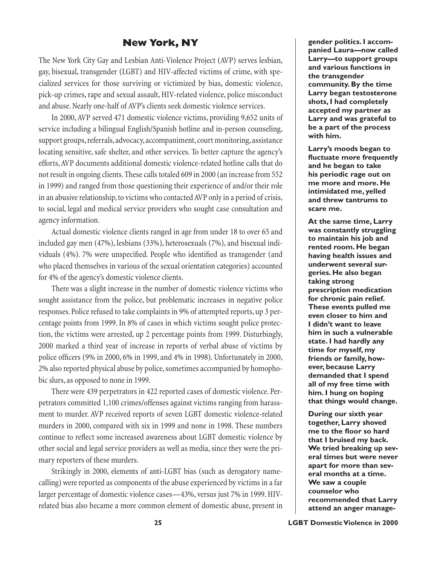# **New York, NY**

The New York City Gay and Lesbian Anti-Violence Project (AVP) serves lesbian, gay, bisexual, transgender (LGBT) and HIV-affected victims of crime, with specialized services for those surviving or victimized by bias, domestic violence, pick-up crimes, rape and sexual assault, HIV-related violence, police misconduct and abuse. Nearly one-half of AVP's clients seek domestic violence services.

In 2000, AVP served 471 domestic violence victims, providing 9,652 units of service including a bilingual English/Spanish hotline and in-person counseling, support groups, referrals, advocacy, accompaniment, court monitoring, assistance locating sensitive, safe shelter, and other services. To better capture the agency's efforts, AVP documents additional domestic violence-related hotline calls that do not result in ongoing clients. These calls totaled 609 in 2000 (an increase from 552 in 1999) and ranged from those questioning their experience of and/or their role in an abusive relationship, to victims who contacted AVP only in a period of crisis, to social, legal and medical service providers who sought case consultation and agency information.

Actual domestic violence clients ranged in age from under 18 to over 65 and included gay men (47%), lesbians (33%), heterosexuals (7%), and bisexual individuals (4%). 7% were unspecified. People who identified as transgender (and who placed themselves in various of the sexual orientation categories) accounted for 4% of the agency's domestic violence clients.

There was a slight increase in the number of domestic violence victims who sought assistance from the police, but problematic increases in negative police responses. Police refused to take complaints in 9% of attempted reports, up 3 percentage points from 1999. In 8% of cases in which victims sought police protection, the victims were arrested, up 2 percentage points from 1999. Disturbingly, 2000 marked a third year of increase in reports of verbal abuse of victims by police officers (9% in 2000, 6% in 1999, and 4% in 1998). Unfortunately in 2000, 2% also reported physical abuse by police, sometimes accompanied by homophobic slurs, as opposed to none in 1999.

There were 439 perpetrators in 422 reported cases of domestic violence. Perpetrators committed 1,100 crimes/offenses against victims ranging from harassment to murder. AVP received reports of seven LGBT domestic violence-related murders in 2000, compared with six in 1999 and none in 1998. These numbers continue to reflect some increased awareness about LGBT domestic violence by other social and legal service providers as well as media, since they were the primary reporters of these murders.

Strikingly in 2000, elements of anti-LGBT bias (such as derogatory namecalling) were reported as components of the abuse experienced by victims in a far larger percentage of domestic violence cases—43%, versus just 7% in 1999. HIVrelated bias also became a more common element of domestic abuse, present in **gender politics. I accompanied Laura—now called Larry—to support groups and various functions in the transgender community. By the time Larry began testosterone shots, I had completely accepted my partner as Larry and was grateful to be a part of the process with him.**

**Larry's moods began to fluctuate more frequently and he began to take his periodic rage out on me more and more. He intimidated me, yelled and threw tantrums to scare me.** 

**At the same time, Larry was constantly struggling to maintain his job and rented room. He began having health issues and underwent several surgeries. He also began taking strong prescription medication for chronic pain relief. These events pulled me even closer to him and I didn't want to leave him in such a vulnerable state. I had hardly any time for myself, my friends or family, however, because Larry demanded that I spend all of my free time with him. I hung on hoping that things would change.** 

**During our sixth year together, Larry shoved me to the floor so hard that I bruised my back. We tried breaking up several times but were never apart for more than several months at a time. We saw a couple counselor who recommended that Larry attend an anger manage-**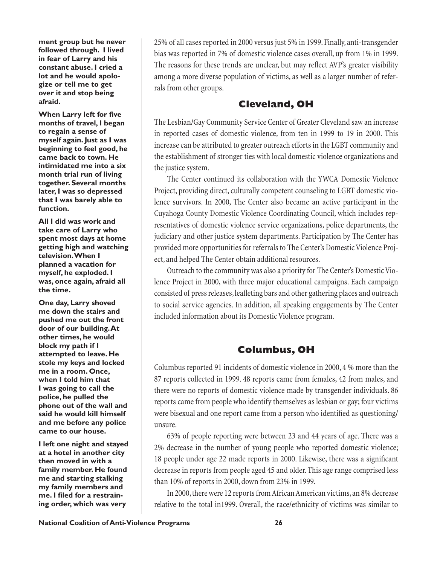**ment group but he never followed through. I lived in fear of Larry and his constant abuse. I cried a lot and he would apologize or tell me to get over it and stop being afraid.**

**When Larry left for five months of travel, I began to regain a sense of myself again. Just as I was beginning to feel good, he came back to town. He intimidated me into a six month trial run of living together. Several months later, I was so depressed that I was barely able to function.** 

**All I did was work and take care of Larry who spent most days at home getting high and watching television. When I planned a vacation for myself, he exploded. I was, once again, afraid all the time.** 

**One day, Larry shoved me down the stairs and pushed me out the front door of our building. At other times, he would block my path if I attempted to leave. He stole my keys and locked me in a room. Once, when I told him that I was going to call the police, he pulled the phone out of the wall and said he would kill himself and me before any police came to our house.**

**I left one night and stayed at a hotel in another city then moved in with a family member. He found me and starting stalking my family members and me. I filed for a restraining order, which was very** 

25% of all cases reported in 2000 versus just 5% in 1999. Finally, anti-transgender bias was reported in 7% of domestic violence cases overall, up from 1% in 1999. The reasons for these trends are unclear, but may reflect AVP's greater visibility among a more diverse population of victims, as well as a larger number of referrals from other groups.

# **Cleveland, OH**

The Lesbian/Gay Community Service Center of Greater Cleveland saw an increase in reported cases of domestic violence, from ten in 1999 to 19 in 2000. This increase can be attributed to greater outreach efforts in the LGBT community and the establishment of stronger ties with local domestic violence organizations and the justice system.

The Center continued its collaboration with the YWCA Domestic Violence Project, providing direct, culturally competent counseling to LGBT domestic violence survivors. In 2000, The Center also became an active participant in the Cuyahoga County Domestic Violence Coordinating Council, which includes representatives of domestic violence service organizations, police departments, the judiciary and other justice system departments. Participation by The Center has provided more opportunities for referrals to The Center's Domestic Violence Project, and helped The Center obtain additional resources.

Outreach to the community was also a priority for The Center's Domestic Violence Project in 2000, with three major educational campaigns. Each campaign consisted of press releases, leafleting bars and other gathering places and outreach to social service agencies. In addition, all speaking engagements by The Center included information about its Domestic Violence program.

# **Columbus, OH**

Columbus reported 91 incidents of domestic violence in 2000, 4 % more than the 87 reports collected in 1999. 48 reports came from females, 42 from males, and there were no reports of domestic violence made by transgender individuals. 86 reports came from people who identify themselves as lesbian or gay; four victims were bisexual and one report came from a person who identified as questioning/ unsure.

63% of people reporting were between 23 and 44 years of age. There was a 2% decrease in the number of young people who reported domestic violence; 18 people under age 22 made reports in 2000. Likewise, there was a significant decrease in reports from people aged 45 and older. This age range comprised less than 10% of reports in 2000, down from 23% in 1999.

In 2000, there were 12 reports from African American victims, an 8% decrease relative to the total in1999. Overall, the race/ethnicity of victims was similar to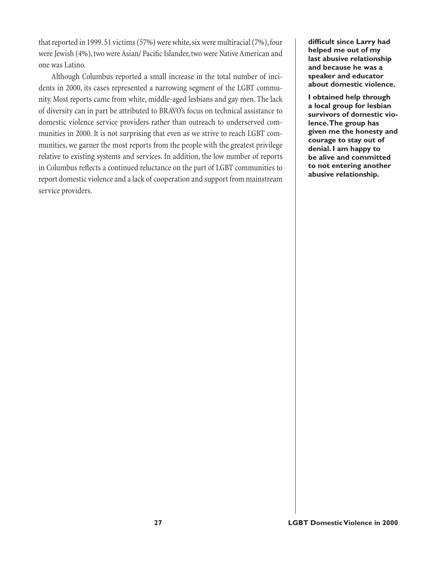that reported in 1999. 51 victims (57%) were white, six were multiracial (7%), four were Jewish (4%), two were Asian/ Pacific Islander, two were Native American and one was Latino.

Although Columbus reported a small increase in the total number of incidents in 2000, its cases represented a narrowing segment of the LGBT community. Most reports came from white, middle-aged lesbians and gay men. The lack of diversity can in part be attributed to BRAVO's focus on technical assistance to domestic violence service providers rather than outreach to underserved communities in 2000. It is not surprising that even as we strive to reach LGBT communities, we garner the most reports from the people with the greatest privilege relative to existing systems and services. In addition, the low number of reports in Columbus reflects a continued reluctance on the part of LGBT communities to report domestic violence and a lack of cooperation and support from mainstream service providers.

**difficult since Larry had helped me out of my last abusive relationship and because he was a speaker and educator about domestic violence.** 

**I obtained help through a local group for lesbian survivors of domestic violence. The group has given me the honesty and courage to stay out of denial. I am happy to be alive and committed to not entering another abusive relationship.**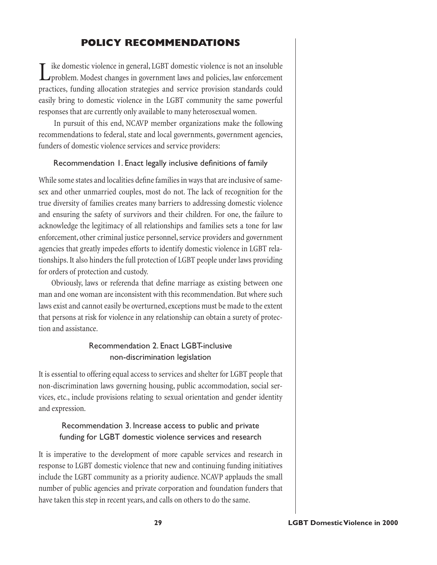# **POLICY RECOMMENDATIONS**

ike domestic violence in general, LGBT domestic violence is not an insoluble **L** problem. Modest changes in government laws and policies, law enforcement practices, funding allocation strategies and service provision standards could easily bring to domestic violence in the LGBT community the same powerful responses that are currently only available to many heterosexual women.

In pursuit of this end, NCAVP member organizations make the following recommendations to federal, state and local governments, government agencies, funders of domestic violence services and service providers:

## Recommendation 1. Enact legally inclusive definitions of family

While some states and localities define families in ways that are inclusive of samesex and other unmarried couples, most do not. The lack of recognition for the true diversity of families creates many barriers to addressing domestic violence and ensuring the safety of survivors and their children. For one, the failure to acknowledge the legitimacy of all relationships and families sets a tone for law enforcement, other criminal justice personnel, service providers and government agencies that greatly impedes efforts to identify domestic violence in LGBT relationships. It also hinders the full protection of LGBT people under laws providing for orders of protection and custody.

Obviously, laws or referenda that define marriage as existing between one man and one woman are inconsistent with this recommendation. But where such laws exist and cannot easily be overturned, exceptions must be made to the extent that persons at risk for violence in any relationship can obtain a surety of protection and assistance.

# Recommendation 2. Enact LGBT-inclusive non-discrimination legislation

It is essential to offering equal access to services and shelter for LGBT people that non-discrimination laws governing housing, public accommodation, social services, etc., include provisions relating to sexual orientation and gender identity and expression.

# Recommendation 3. Increase access to public and private funding for LGBT domestic violence services and research

It is imperative to the development of more capable services and research in response to LGBT domestic violence that new and continuing funding initiatives include the LGBT community as a priority audience. NCAVP applauds the small number of public agencies and private corporation and foundation funders that have taken this step in recent years, and calls on others to do the same.